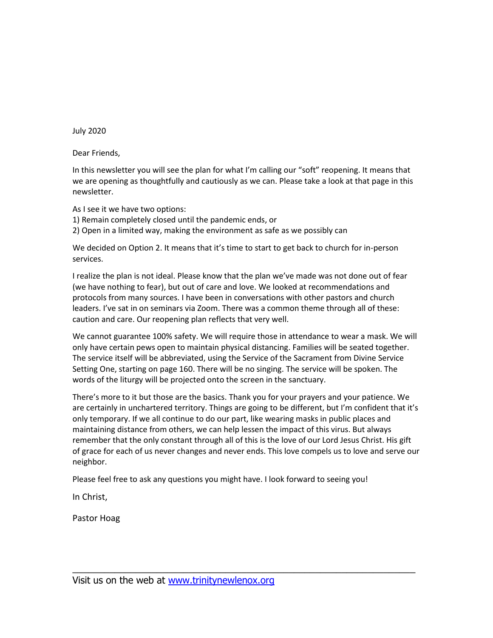July 2020

Dear Friends,

In this newsletter you will see the plan for what I'm calling our "soft" reopening. It means that we are opening as thoughtfully and cautiously as we can. Please take a look at that page in this newsletter.

As I see it we have two options:

1) Remain completely closed until the pandemic ends, or

2) Open in a limited way, making the environment as safe as we possibly can

We decided on Option 2. It means that it's time to start to get back to church for in-person services.

I realize the plan is not ideal. Please know that the plan we've made was not done out of fear (we have nothing to fear), but out of care and love. We looked at recommendations and protocols from many sources. I have been in conversations with other pastors and church leaders. I've sat in on seminars via Zoom. There was a common theme through all of these: caution and care. Our reopening plan reflects that very well.

We cannot guarantee 100% safety. We will require those in attendance to wear a mask. We will only have certain pews open to maintain physical distancing. Families will be seated together. The service itself will be abbreviated, using the Service of the Sacrament from Divine Service Setting One, starting on page 160. There will be no singing. The service will be spoken. The words of the liturgy will be projected onto the screen in the sanctuary.

There's more to it but those are the basics. Thank you for your prayers and your patience. We are certainly in unchartered territory. Things are going to be different, but I'm confident that it's only temporary. If we all continue to do our part, like wearing masks in public places and maintaining distance from others, we can help lessen the impact of this virus. But always remember that the only constant through all of this is the love of our Lord Jesus Christ. His gift of grace for each of us never changes and never ends. This love compels us to love and serve our neighbor.

 $\overline{a_1}$  ,  $\overline{a_2}$  ,  $\overline{a_3}$  ,  $\overline{a_4}$  ,  $\overline{a_5}$  ,  $\overline{a_6}$  ,  $\overline{a_7}$  ,  $\overline{a_8}$  ,  $\overline{a_9}$  ,  $\overline{a_9}$  ,  $\overline{a_9}$  ,  $\overline{a_9}$  ,  $\overline{a_9}$  ,  $\overline{a_9}$  ,  $\overline{a_9}$  ,  $\overline{a_9}$  ,  $\overline{a_9}$  ,

Please feel free to ask any questions you might have. I look forward to seeing you!

In Christ,

Pastor Hoag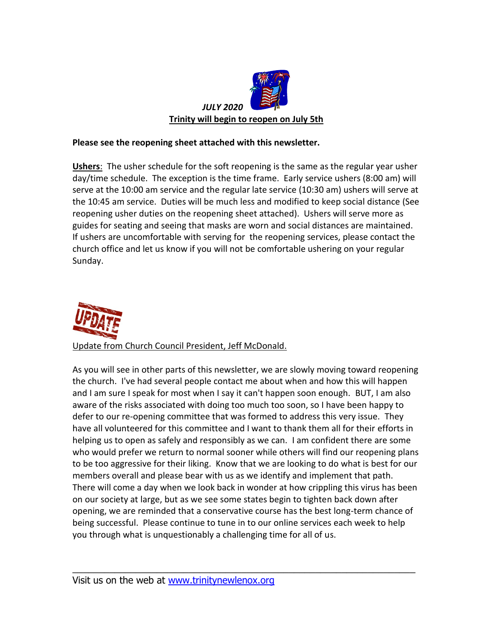

### **Please see the reopening sheet attached with this newsletter.**

**Ushers**: The usher schedule for the soft reopening is the same as the regular year usher day/time schedule. The exception is the time frame. Early service ushers (8:00 am) will serve at the 10:00 am service and the regular late service (10:30 am) ushers will serve at the 10:45 am service. Duties will be much less and modified to keep social distance (See reopening usher duties on the reopening sheet attached). Ushers will serve more as guides for seating and seeing that masks are worn and social distances are maintained. If ushers are uncomfortable with serving for the reopening services, please contact the church office and let us know if you will not be comfortable ushering on your regular Sunday.



Update from Church Council President, Jeff McDonald.

As you will see in other parts of this newsletter, we are slowly moving toward reopening the church. I've had several people contact me about when and how this will happen and I am sure I speak for most when I say it can't happen soon enough. BUT, I am also aware of the risks associated with doing too much too soon, so I have been happy to defer to our re-opening committee that was formed to address this very issue. They have all volunteered for this committee and I want to thank them all for their efforts in helping us to open as safely and responsibly as we can. I am confident there are some who would prefer we return to normal sooner while others will find our reopening plans to be too aggressive for their liking. Know that we are looking to do what is best for our members overall and please bear with us as we identify and implement that path. There will come a day when we look back in wonder at how crippling this virus has been on our society at large, but as we see some states begin to tighten back down after opening, we are reminded that a conservative course has the best long-term chance of being successful. Please continue to tune in to our online services each week to help you through what is unquestionably a challenging time for all of us.

 $\overline{a_1}$  ,  $\overline{a_2}$  ,  $\overline{a_3}$  ,  $\overline{a_4}$  ,  $\overline{a_5}$  ,  $\overline{a_6}$  ,  $\overline{a_7}$  ,  $\overline{a_8}$  ,  $\overline{a_9}$  ,  $\overline{a_9}$  ,  $\overline{a_9}$  ,  $\overline{a_9}$  ,  $\overline{a_9}$  ,  $\overline{a_9}$  ,  $\overline{a_9}$  ,  $\overline{a_9}$  ,  $\overline{a_9}$  ,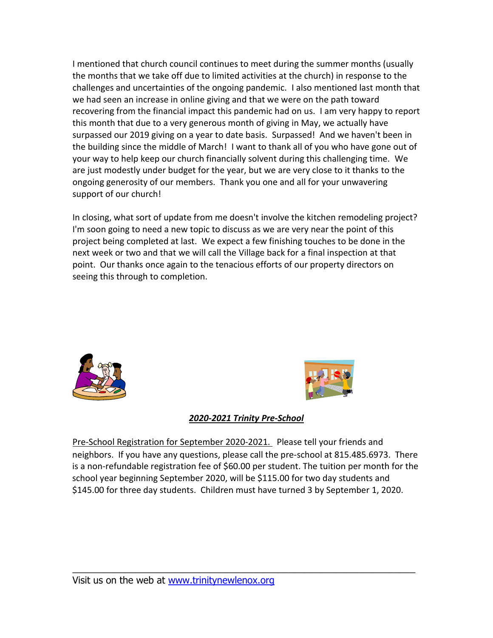I mentioned that church council continues to meet during the summer months (usually the months that we take off due to limited activities at the church) in response to the challenges and uncertainties of the ongoing pandemic. I also mentioned last month that we had seen an increase in online giving and that we were on the path toward recovering from the financial impact this pandemic had on us. I am very happy to report this month that due to a very generous month of giving in May, we actually have surpassed our 2019 giving on a year to date basis. Surpassed! And we haven't been in the building since the middle of March! I want to thank all of you who have gone out of your way to help keep our church financially solvent during this challenging time. We are just modestly under budget for the year, but we are very close to it thanks to the ongoing generosity of our members. Thank you one and all for your unwavering support of our church!

In closing, what sort of update from me doesn't involve the kitchen remodeling project? I'm soon going to need a new topic to discuss as we are very near the point of this project being completed at last. We expect a few finishing touches to be done in the next week or two and that we will call the Village back for a final inspection at that point. Our thanks once again to the tenacious efforts of our property directors on seeing this through to completion.





## *2020-2021 Trinity Pre-School*

Pre-School Registration for September 2020-2021. Please tell your friends and neighbors. If you have any questions, please call the pre-school at 815.485.6973. There is a non-refundable registration fee of \$60.00 per student. The tuition per month for the school year beginning September 2020, will be \$115.00 for two day students and \$145.00 for three day students. Children must have turned 3 by September 1, 2020.

 $\overline{a_1}$  ,  $\overline{a_2}$  ,  $\overline{a_3}$  ,  $\overline{a_4}$  ,  $\overline{a_5}$  ,  $\overline{a_6}$  ,  $\overline{a_7}$  ,  $\overline{a_8}$  ,  $\overline{a_9}$  ,  $\overline{a_9}$  ,  $\overline{a_9}$  ,  $\overline{a_9}$  ,  $\overline{a_9}$  ,  $\overline{a_9}$  ,  $\overline{a_9}$  ,  $\overline{a_9}$  ,  $\overline{a_9}$  ,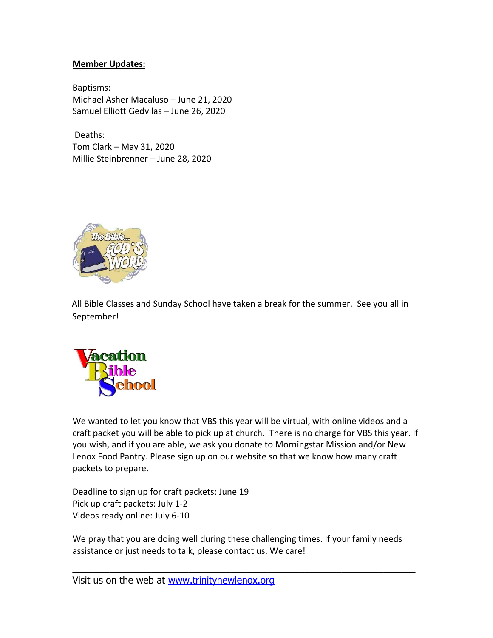## **Member Updates:**

Baptisms: Michael Asher Macaluso – June 21, 2020 Samuel Elliott Gedvilas – June 26, 2020

Deaths: Tom Clark – May 31, 2020 Millie Steinbrenner – June 28, 2020



All Bible Classes and Sunday School have taken a break for the summer. See you all in September!



We wanted to let you know that VBS this year will be virtual, with online videos and a craft packet you will be able to pick up at church. There is no charge for VBS this year. If you wish, and if you are able, we ask you donate to Morningstar Mission and/or New Lenox Food Pantry. Please sign up on our website so that we know how many craft packets to prepare.

Deadline to sign up for craft packets: June 19 Pick up craft packets: July 1-2 Videos ready online: July 6-10

We pray that you are doing well during these challenging times. If your family needs assistance or just needs to talk, please contact us. We care!

 $\overline{a_1}$  ,  $\overline{a_2}$  ,  $\overline{a_3}$  ,  $\overline{a_4}$  ,  $\overline{a_5}$  ,  $\overline{a_6}$  ,  $\overline{a_7}$  ,  $\overline{a_8}$  ,  $\overline{a_9}$  ,  $\overline{a_9}$  ,  $\overline{a_9}$  ,  $\overline{a_9}$  ,  $\overline{a_9}$  ,  $\overline{a_9}$  ,  $\overline{a_9}$  ,  $\overline{a_9}$  ,  $\overline{a_9}$  ,

Visit us on the web at [www.trinitynewlenox.org](http://www.trinitynewlenox.org/)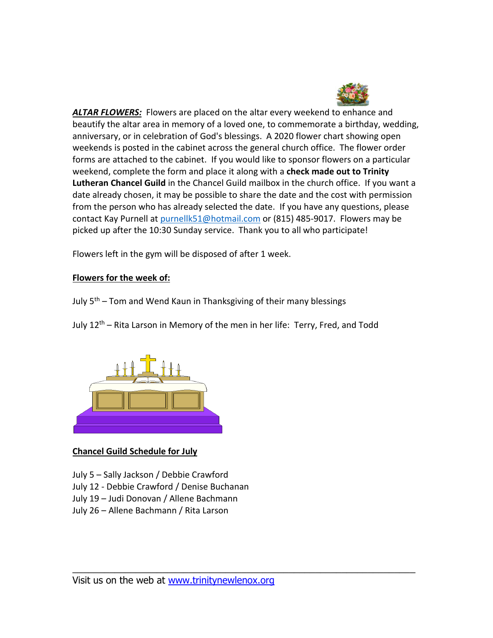

*ALTAR FLOWERS:* Flowers are placed on the altar every weekend to enhance and beautify the altar area in memory of a loved one, to commemorate a birthday, wedding, anniversary, or in celebration of God's blessings. A 2020 flower chart showing open weekends is posted in the cabinet across the general church office. The flower order forms are attached to the cabinet. If you would like to sponsor flowers on a particular weekend, complete the form and place it along with a **check made out to Trinity Lutheran Chancel Guild** in the Chancel Guild mailbox in the church office. If you want a date already chosen, it may be possible to share the date and the cost with permission from the person who has already selected the date. If you have any questions, please contact Kay Purnell at [purnellk51@hotmail.com](mailto:purnellk51@hotmail.com) or (815) 485-9017. Flowers may be picked up after the 10:30 Sunday service. Thank you to all who participate!

Flowers left in the gym will be disposed of after 1 week.

# **Flowers for the week of:**

July 5<sup>th</sup> – Tom and Wend Kaun in Thanksgiving of their many blessings

July 12<sup>th</sup> – Rita Larson in Memory of the men in her life: Terry, Fred, and Todd

 $\overline{a_1}$  ,  $\overline{a_2}$  ,  $\overline{a_3}$  ,  $\overline{a_4}$  ,  $\overline{a_5}$  ,  $\overline{a_6}$  ,  $\overline{a_7}$  ,  $\overline{a_8}$  ,  $\overline{a_9}$  ,  $\overline{a_9}$  ,  $\overline{a_9}$  ,  $\overline{a_9}$  ,  $\overline{a_9}$  ,  $\overline{a_9}$  ,  $\overline{a_9}$  ,  $\overline{a_9}$  ,  $\overline{a_9}$  ,



**Chancel Guild Schedule for July** 

July 5 – Sally Jackson / Debbie Crawford July 12 - Debbie Crawford / Denise Buchanan July 19 – Judi Donovan / Allene Bachmann July 26 – Allene Bachmann / Rita Larson